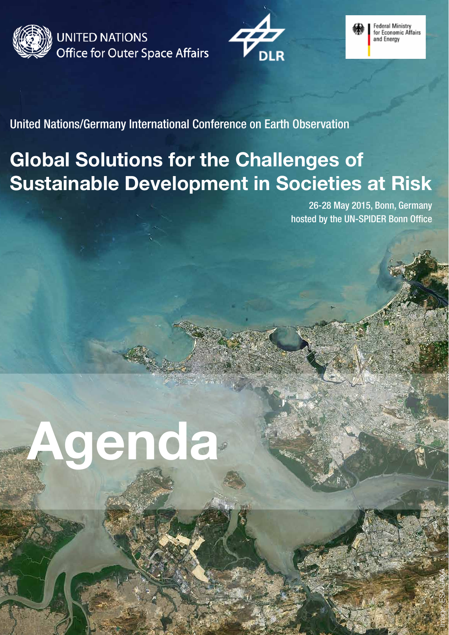

**UNITED NATIONS Office for Outer Space Affairs** 





United Nations/Germany International Conference on Earth Observation

## **Global Solutions for the Challenges of Sustainable Development in Societies at Risk**

26-28 May 2015, Bonn, Germany hosted by the UN-SPIDER Bonn Office

Image: ESA/JAXA

# **Agenda**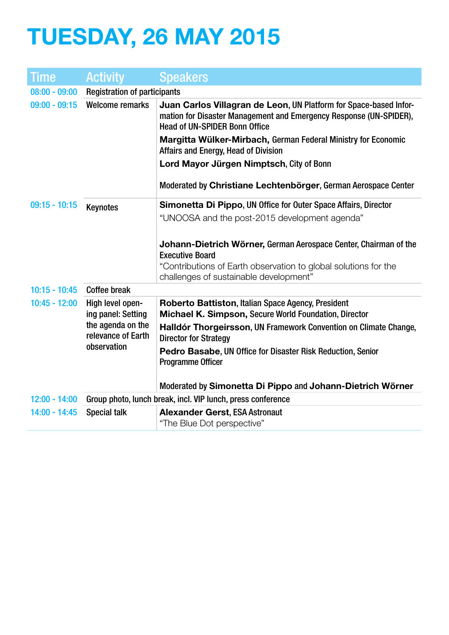# **TUESDAY, 26 MAY 2015**

| Time            | <b>Activity</b>                         | <b>Speakers</b>                                                                                                                                                                 |
|-----------------|-----------------------------------------|---------------------------------------------------------------------------------------------------------------------------------------------------------------------------------|
| $08:00 - 09:00$ | <b>Registration of participants</b>     |                                                                                                                                                                                 |
| $09:00 - 09:15$ | <b>Welcome remarks</b>                  | Juan Carlos Villagran de Leon, UN Platform for Space-based Infor-<br>mation for Disaster Management and Emergency Response (UN-SPIDER),<br><b>Head of UN-SPIDER Bonn Office</b> |
|                 |                                         | Margitta Wülker-Mirbach, German Federal Ministry for Economic<br>Affairs and Energy, Head of Division                                                                           |
|                 |                                         | Lord Mayor Jürgen Nimptsch, City of Bonn                                                                                                                                        |
|                 |                                         | Moderated by Christiane Lechtenbörger, German Aerospace Center                                                                                                                  |
| $09:15 - 10:15$ | <b>Keynotes</b>                         | Simonetta Di Pippo, UN Office for Outer Space Affairs, Director                                                                                                                 |
|                 |                                         | "UNOOSA and the post-2015 development agenda"                                                                                                                                   |
|                 |                                         | Johann-Dietrich Wörner, German Aerospace Center, Chairman of the<br><b>Executive Board</b>                                                                                      |
|                 |                                         | "Contributions of Earth observation to global solutions for the                                                                                                                 |
|                 |                                         | challenges of sustainable development"                                                                                                                                          |
| $10:15 - 10:45$ | <b>Coffee break</b>                     |                                                                                                                                                                                 |
| $10:45 - 12:00$ | High level open-<br>ing panel: Setting  | Roberto Battiston, Italian Space Agency, President<br>Michael K. Simpson, Secure World Foundation, Director                                                                     |
|                 | the agenda on the<br>relevance of Earth | Halldór Thorgeirsson, UN Framework Convention on Climate Change,<br><b>Director for Strategy</b>                                                                                |
|                 | observation                             | Pedro Basabe, UN Office for Disaster Risk Reduction, Senior<br><b>Programme Officer</b>                                                                                         |
|                 |                                         | Moderated by Simonetta Di Pippo and Johann-Dietrich Wörner                                                                                                                      |
| $12:00 - 14:00$ |                                         | Group photo, lunch break, incl. VIP lunch, press conference                                                                                                                     |
| $14:00 - 14:45$ | <b>Special talk</b>                     | <b>Alexander Gerst, ESA Astronaut</b><br>"The Blue Dot perspective"                                                                                                             |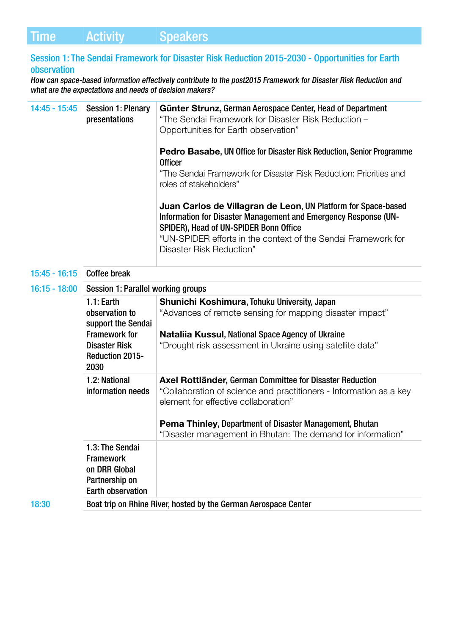#### Session 1: The Sendai Framework for Disaster Risk Reduction 2015-2030 - Opportunities for Earth observation

How can space-based information effectively contribute to the post2015 Framework for Disaster Risk Reduction and what are the expectations and needs of decision makers?

| $14:45 - 15:45$ | <b>Session 1: Plenary</b><br>presentations                                                                                             | Günter Strunz, German Aerospace Center, Head of Department<br>"The Sendai Framework for Disaster Risk Reduction -<br>Opportunities for Earth observation"                                                                                                                                               |
|-----------------|----------------------------------------------------------------------------------------------------------------------------------------|---------------------------------------------------------------------------------------------------------------------------------------------------------------------------------------------------------------------------------------------------------------------------------------------------------|
|                 |                                                                                                                                        | <b>Pedro Basabe, UN Office for Disaster Risk Reduction, Senior Programme</b><br><b>Officer</b><br>"The Sendai Framework for Disaster Risk Reduction: Priorities and<br>roles of stakeholders"                                                                                                           |
|                 |                                                                                                                                        | Juan Carlos de Villagran de Leon, UN Platform for Space-based<br>Information for Disaster Management and Emergency Response (UN-<br>SPIDER), Head of UN-SPIDER Bonn Office<br>"UN-SPIDER efforts in the context of the Sendai Framework for<br>Disaster Risk Reduction"                                 |
| $15:45 - 16:15$ | <b>Coffee break</b>                                                                                                                    |                                                                                                                                                                                                                                                                                                         |
| $16:15 - 18:00$ | Session 1: Parallel working groups                                                                                                     |                                                                                                                                                                                                                                                                                                         |
|                 | $1.1:$ Earth<br>observation to<br>support the Sendai<br><b>Framework for</b><br><b>Disaster Risk</b><br><b>Reduction 2015-</b><br>2030 | Shunichi Koshimura, Tohuku University, Japan<br>"Advances of remote sensing for mapping disaster impact"<br><b>Nataliia Kussul, National Space Agency of Ukraine</b><br>"Drought risk assessment in Ukraine using satellite data"                                                                       |
|                 | 1.2: National<br>information needs                                                                                                     | Axel Rottländer, German Committee for Disaster Reduction<br>"Collaboration of science and practitioners - Information as a key<br>element for effective collaboration"<br><b>Pema Thinley, Department of Disaster Management, Bhutan</b><br>"Disaster management in Bhutan: The demand for information" |
|                 | 1.3: The Sendai<br><b>Framework</b><br>on DRR Global<br>Partnership on<br><b>Earth observation</b>                                     |                                                                                                                                                                                                                                                                                                         |
| 18:30           | Boat trip on Rhine River, hosted by the German Aerospace Center                                                                        |                                                                                                                                                                                                                                                                                                         |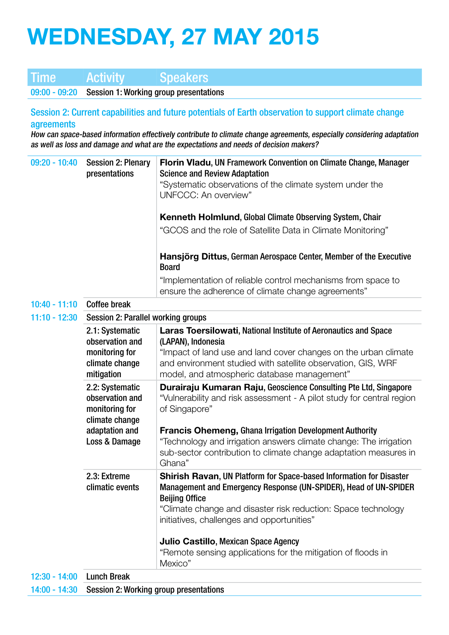# **WEDNESDAY, 27 MAY 2015**

## Time Activity Speakers

09:00 - 09:20 Session 1: Working group presentations

Session 2: Current capabilities and future potentials of Earth observation to support climate change agreements

How can space-based information effectively contribute to climate change agreements, especially considering adaptation as well as loss and damage and what are the expectations and needs of decision makers?

| $09:20 - 10:40$ | <b>Session 2: Plenary</b><br>presentations                             | Florin Vladu, UN Framework Convention on Climate Change, Manager<br><b>Science and Review Adaptation</b>                                                                                                          |  |
|-----------------|------------------------------------------------------------------------|-------------------------------------------------------------------------------------------------------------------------------------------------------------------------------------------------------------------|--|
|                 |                                                                        | "Systematic observations of the climate system under the<br>UNFCCC: An overview"                                                                                                                                  |  |
|                 |                                                                        | <b>Kenneth Holmlund, Global Climate Observing System, Chair</b>                                                                                                                                                   |  |
|                 |                                                                        | "GCOS and the role of Satellite Data in Climate Monitoring"                                                                                                                                                       |  |
|                 |                                                                        | Hansjörg Dittus, German Aerospace Center, Member of the Executive<br><b>Board</b>                                                                                                                                 |  |
|                 |                                                                        | "Implementation of reliable control mechanisms from space to<br>ensure the adherence of climate change agreements"                                                                                                |  |
| $10:40 - 11:10$ | <b>Coffee break</b>                                                    |                                                                                                                                                                                                                   |  |
| $11:10 - 12:30$ | Session 2: Parallel working groups                                     |                                                                                                                                                                                                                   |  |
|                 | 2.1: Systematic<br>observation and                                     | Laras Toersilowati, National Institute of Aeronautics and Space<br>(LAPAN), Indonesia                                                                                                                             |  |
|                 | monitoring for<br>climate change<br>mitigation                         | "Impact of land use and land cover changes on the urban climate<br>and environment studied with satellite observation, GIS, WRF<br>model, and atmospheric database management"                                    |  |
|                 | 2.2: Systematic<br>observation and<br>monitoring for<br>climate change | Durairaju Kumaran Raju, Geoscience Consulting Pte Ltd, Singapore<br>"Vulnerability and risk assessment - A pilot study for central region<br>of Singapore"                                                        |  |
|                 | adaptation and<br>Loss & Damage                                        | <b>Francis Ohemeng, Ghana Irrigation Development Authority</b><br>"Technology and irrigation answers climate change: The irrigation<br>sub-sector contribution to climate change adaptation measures in<br>Ghana" |  |
|                 | 2.3: Extreme<br>climatic events                                        | <b>Shirish Ravan, UN Platform for Space-based Information for Disaster</b><br>Management and Emergency Response (UN-SPIDER), Head of UN-SPIDER<br><b>Beijing Office</b>                                           |  |
|                 |                                                                        | "Climate change and disaster risk reduction: Space technology<br>initiatives, challenges and opportunities"                                                                                                       |  |
|                 |                                                                        | Julio Castillo, Mexican Space Agency                                                                                                                                                                              |  |
|                 |                                                                        | "Remote sensing applications for the mitigation of floods in<br>Mexico"                                                                                                                                           |  |
| $12:30 - 14:00$ | <b>Lunch Break</b>                                                     |                                                                                                                                                                                                                   |  |
| $14:00 - 14:30$ | Session 2: Working group presentations                                 |                                                                                                                                                                                                                   |  |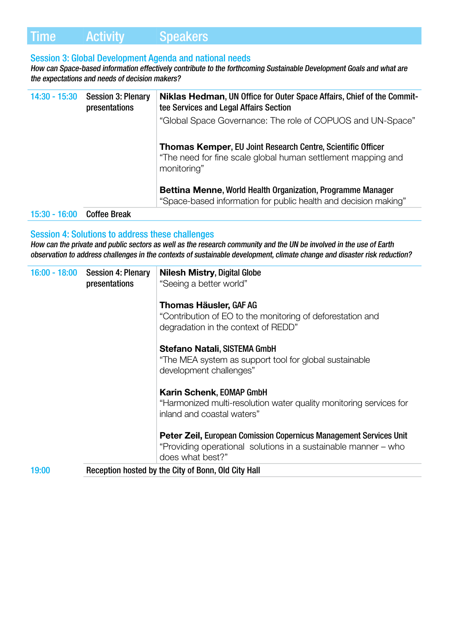### Time Activity Speakers

#### Session 3: Global Development Agenda and national needs

How can Space-based information effectively contribute to the forthcoming Sustainable Development Goals and what are the expectations and needs of decision makers?

| 14:30 - 15:30   | <b>Session 3: Plenary</b><br>presentations | Niklas Hedman, UN Office for Outer Space Affairs, Chief of the Commit-<br>tee Services and Legal Affairs Section<br>"Global Space Governance: The role of COPUOS and UN-Space" |
|-----------------|--------------------------------------------|--------------------------------------------------------------------------------------------------------------------------------------------------------------------------------|
|                 |                                            | <b>Thomas Kemper, EU Joint Research Centre, Scientific Officer</b><br>"The need for fine scale global human settlement mapping and<br>monitoring"                              |
|                 |                                            | <b>Bettina Menne, World Health Organization, Programme Manager</b><br>"Space-based information for public health and decision making"                                          |
| $15:30 - 16:00$ | <b>Coffee Break</b>                        |                                                                                                                                                                                |

#### Session 4: Solutions to address these challenges

How can the private and public sectors as well as the research community and the UN be involved in the use of Earth observation to address challenges in the contexts of sustainable development, climate change and disaster risk reduction?

|       | 16:00 - 18:00 Session 4: Plenary<br>presentations | <b>Nilesh Mistry, Digital Globe</b><br>"Seeing a better world"                                                                                           |
|-------|---------------------------------------------------|----------------------------------------------------------------------------------------------------------------------------------------------------------|
|       |                                                   | <b>Thomas Häusler, GAF AG</b><br>"Contribution of EO to the monitoring of deforestation and<br>degradation in the context of REDD"                       |
|       |                                                   | <b>Stefano Natali, SISTEMA GmbH</b><br>"The MEA system as support tool for global sustainable<br>development challenges"                                 |
|       |                                                   | <b>Karin Schenk, EOMAP GmbH</b><br>"Harmonized multi-resolution water quality monitoring services for<br>inland and coastal waters"                      |
|       |                                                   | Peter Zeil, European Comission Copernicus Management Services Unit<br>"Providing operational solutions in a sustainable manner – who<br>does what best?" |
| 19:00 |                                                   | Reception hosted by the City of Bonn, Old City Hall                                                                                                      |